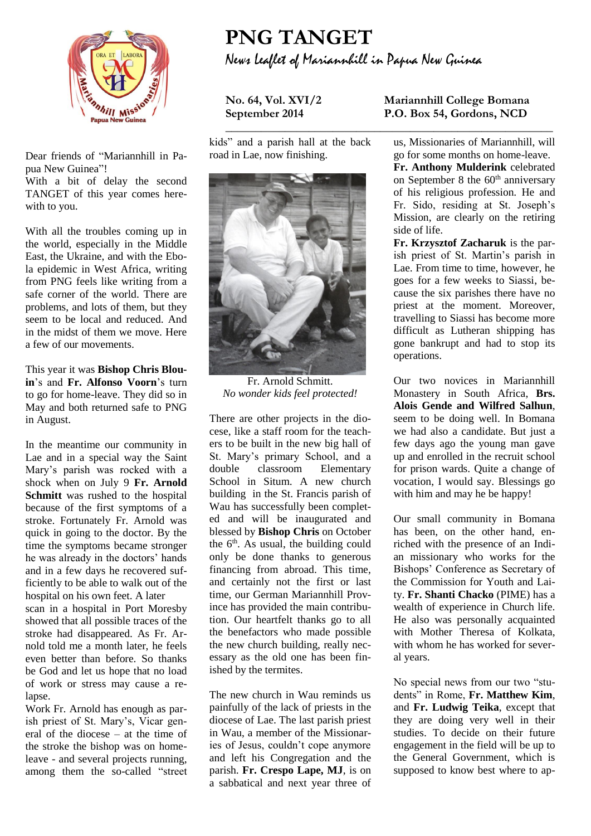

Dear friends of "Mariannhill in Papua New Guinea"!

With a bit of delay the second TANGET of this year comes herewith to you.

With all the troubles coming up in the world, especially in the Middle East, the Ukraine, and with the Ebola epidemic in West Africa, writing from PNG feels like writing from a safe corner of the world. There are problems, and lots of them, but they seem to be local and reduced. And in the midst of them we move. Here a few of our movements.

This year it was **Bishop Chris Blouin**'s and **Fr. Alfonso Voorn**'s turn to go for home-leave. They did so in May and both returned safe to PNG in August.

In the meantime our community in Lae and in a special way the Saint Mary's parish was rocked with a shock when on July 9 **Fr. Arnold Schmitt** was rushed to the hospital because of the first symptoms of a stroke. Fortunately Fr. Arnold was quick in going to the doctor. By the time the symptoms became stronger he was already in the doctors' hands and in a few days he recovered sufficiently to be able to walk out of the hospital on his own feet. A later

scan in a hospital in Port Moresby showed that all possible traces of the stroke had disappeared. As Fr. Arnold told me a month later, he feels even better than before. So thanks be God and let us hope that no load of work or stress may cause a relapse.

Work Fr. Arnold has enough as parish priest of St. Mary's, Vicar general of the diocese – at the time of the stroke the bishop was on homeleave - and several projects running, among them the so-called "street

## **PNG TANGET** News Leaflet of Mariannhill in Papua New Guinea

**\_\_\_\_\_\_\_\_\_\_\_\_\_\_\_\_\_\_\_\_\_\_\_\_\_\_\_\_\_\_\_\_\_\_\_\_\_\_\_\_\_\_\_\_\_\_\_\_\_\_\_\_\_\_\_**

kids" and a parish hall at the back road in Lae, now finishing.



Fr. Arnold Schmitt. *No wonder kids feel protected!* 

There are other projects in the diocese, like a staff room for the teachers to be built in the new big hall of St. Mary's primary School, and a double classroom Elementary School in Situm. A new church building in the St. Francis parish of Wau has successfully been completed and will be inaugurated and blessed by **Bishop Chris** on October the  $6<sup>th</sup>$ . As usual, the building could only be done thanks to generous financing from abroad. This time, and certainly not the first or last time, our German Mariannhill Province has provided the main contribution. Our heartfelt thanks go to all the benefactors who made possible the new church building, really necessary as the old one has been finished by the termites.

The new church in Wau reminds us painfully of the lack of priests in the diocese of Lae. The last parish priest in Wau, a member of the Missionaries of Jesus, couldn't cope anymore and left his Congregation and the parish. **Fr. Crespo Lape, MJ**, is on a sabbatical and next year three of

## **No. 64, Vol. XVI/2 Mariannhill College Bomana September 2014 P.O. Box 54, Gordons, NCD**

us, Missionaries of Mariannhill, will go for some months on home-leave. **Fr. Anthony Mulderink** celebrated on September 8 the  $60<sup>th</sup>$  anniversary of his religious profession. He and Fr. Sido, residing at St. Joseph's Mission, are clearly on the retiring side of life.

**Fr. Krzysztof Zacharuk** is the parish priest of St. Martin's parish in Lae. From time to time, however, he goes for a few weeks to Siassi, because the six parishes there have no priest at the moment. Moreover, travelling to Siassi has become more difficult as Lutheran shipping has gone bankrupt and had to stop its operations.

Our two novices in Mariannhill Monastery in South Africa, **Brs. Alois Gende and Wilfred Salhun**, seem to be doing well. In Bomana we had also a candidate. But just a few days ago the young man gave up and enrolled in the recruit school for prison wards. Quite a change of vocation, I would say. Blessings go with him and may he be happy!

Our small community in Bomana has been, on the other hand, enriched with the presence of an Indian missionary who works for the Bishops' Conference as Secretary of the Commission for Youth and Laity. **Fr. Shanti Chacko** (PIME) has a wealth of experience in Church life. He also was personally acquainted with Mother Theresa of Kolkata, with whom he has worked for several years.

No special news from our two "students" in Rome, **Fr. Matthew Kim**, and **Fr. Ludwig Teika**, except that they are doing very well in their studies. To decide on their future engagement in the field will be up to the General Government, which is supposed to know best where to ap